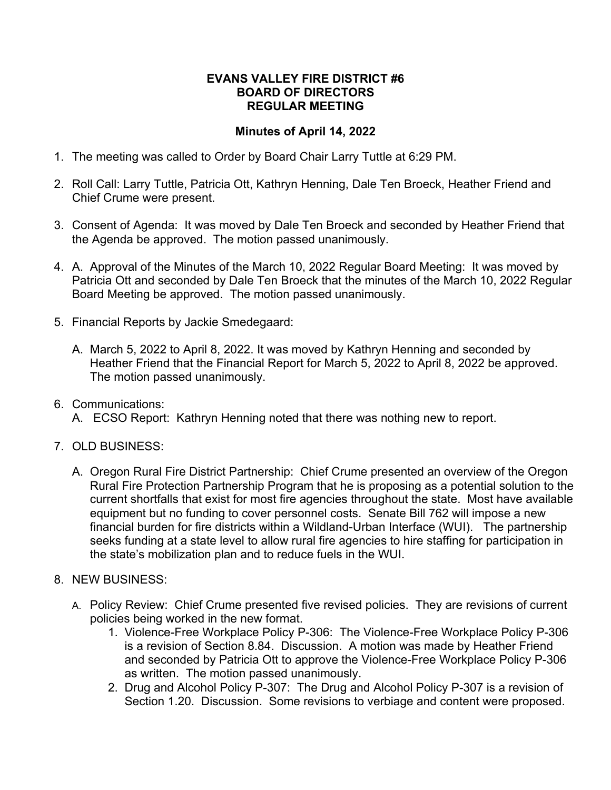## **EVANS VALLEY FIRE DISTRICT #6 BOARD OF DIRECTORS REGULAR MEETING**

## **Minutes of April 14, 2022**

- 1. The meeting was called to Order by Board Chair Larry Tuttle at 6:29 PM.
- 2. Roll Call: Larry Tuttle, Patricia Ott, Kathryn Henning, Dale Ten Broeck, Heather Friend and Chief Crume were present.
- 3. Consent of Agenda: It was moved by Dale Ten Broeck and seconded by Heather Friend that the Agenda be approved. The motion passed unanimously.
- 4. A. Approval of the Minutes of the March 10, 2022 Regular Board Meeting: It was moved by Patricia Ott and seconded by Dale Ten Broeck that the minutes of the March 10, 2022 Regular Board Meeting be approved. The motion passed unanimously.
- 5. Financial Reports by Jackie Smedegaard:
	- A. March 5, 2022 to April 8, 2022. It was moved by Kathryn Henning and seconded by Heather Friend that the Financial Report for March 5, 2022 to April 8, 2022 be approved. The motion passed unanimously.
- 6. Communications:
	- A. ECSO Report: Kathryn Henning noted that there was nothing new to report.
- 7. OLD BUSINESS:
	- A. Oregon Rural Fire District Partnership: Chief Crume presented an overview of the Oregon Rural Fire Protection Partnership Program that he is proposing as a potential solution to the current shortfalls that exist for most fire agencies throughout the state. Most have available equipment but no funding to cover personnel costs. Senate Bill 762 will impose a new financial burden for fire districts within a Wildland-Urban Interface (WUI). The partnership seeks funding at a state level to allow rural fire agencies to hire staffing for participation in the state's mobilization plan and to reduce fuels in the WUI.
- 8. NEW BUSINESS:
	- A. Policy Review: Chief Crume presented five revised policies. They are revisions of current policies being worked in the new format.
		- 1. Violence-Free Workplace Policy P-306: The Violence-Free Workplace Policy P-306 is a revision of Section 8.84. Discussion. A motion was made by Heather Friend and seconded by Patricia Ott to approve the Violence-Free Workplace Policy P-306 as written. The motion passed unanimously.
		- 2. Drug and Alcohol Policy P-307: The Drug and Alcohol Policy P-307 is a revision of Section 1.20. Discussion. Some revisions to verbiage and content were proposed.